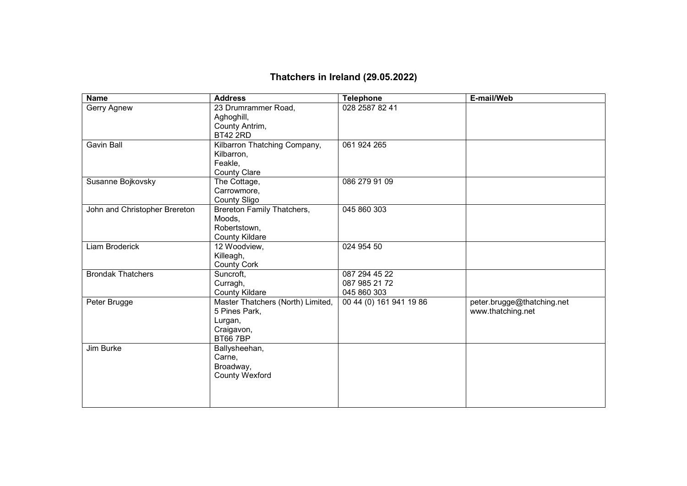## Thatchers in Ireland (29.05.2022)

| <b>Name</b>                   | <b>Address</b>                    | <b>Telephone</b>        | E-mail/Web                 |
|-------------------------------|-----------------------------------|-------------------------|----------------------------|
| Gerry Agnew                   | 23 Drumrammer Road,               | 028 2587 82 41          |                            |
|                               | Aghoghill,                        |                         |                            |
|                               | County Antrim,                    |                         |                            |
|                               | <b>BT42 2RD</b>                   |                         |                            |
| <b>Gavin Ball</b>             | Kilbarron Thatching Company,      | 061 924 265             |                            |
|                               | Kilbarron,                        |                         |                            |
|                               | Feakle,                           |                         |                            |
|                               | <b>County Clare</b>               |                         |                            |
| Susanne Bojkovsky             | The Cottage,                      | 086 279 91 09           |                            |
|                               | Carrowmore,                       |                         |                            |
|                               | <b>County Sligo</b>               |                         |                            |
| John and Christopher Brereton | Brereton Family Thatchers,        | 045 860 303             |                            |
|                               | Moods,                            |                         |                            |
|                               | Robertstown,                      |                         |                            |
|                               | <b>County Kildare</b>             |                         |                            |
| Liam Broderick                | 12 Woodview,                      | 024 954 50              |                            |
|                               | Killeagh,                         |                         |                            |
|                               | <b>County Cork</b>                |                         |                            |
| <b>Brondak Thatchers</b>      | Suncroft,                         | 087 294 45 22           |                            |
|                               | Curragh,                          | 087 985 21 72           |                            |
|                               | <b>County Kildare</b>             | 045 860 303             |                            |
| Peter Brugge                  | Master Thatchers (North) Limited, | 00 44 (0) 161 941 19 86 | peter.brugge@thatching.net |
|                               | 5 Pines Park,                     |                         | www.thatching.net          |
|                               | Lurgan,                           |                         |                            |
|                               | Craigavon,                        |                         |                            |
|                               | <b>BT66 7BP</b>                   |                         |                            |
| Jim Burke                     | Ballysheehan,                     |                         |                            |
|                               | Carne,                            |                         |                            |
|                               | Broadway,                         |                         |                            |
|                               | <b>County Wexford</b>             |                         |                            |
|                               |                                   |                         |                            |
|                               |                                   |                         |                            |
|                               |                                   |                         |                            |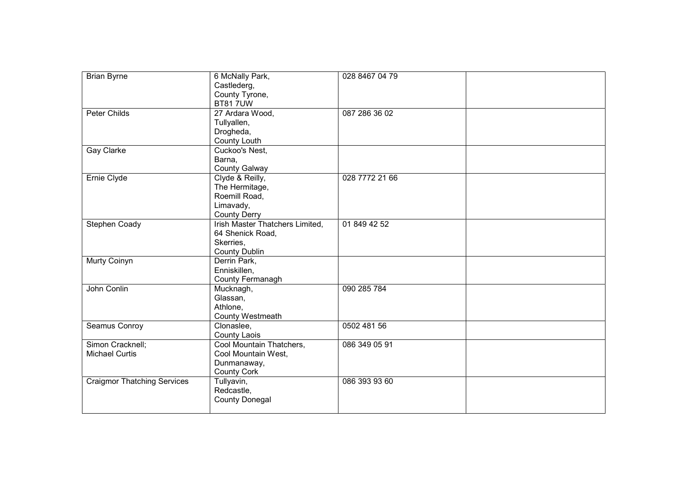| <b>Brian Byrne</b>                        | 6 McNally Park,<br>Castlederg,<br>County Tyrone,<br><b>BT817UW</b>                       | 028 8467 04 79 |  |
|-------------------------------------------|------------------------------------------------------------------------------------------|----------------|--|
| <b>Peter Childs</b>                       | 27 Ardara Wood,<br>Tullyallen,<br>Drogheda,<br>County Louth                              | 087 286 36 02  |  |
| Gay Clarke                                | Cuckoo's Nest,<br>Barna,<br><b>County Galway</b>                                         |                |  |
| Ernie Clyde                               | Clyde & Reilly,<br>The Hermitage,<br>Roemill Road,<br>Limavady,<br><b>County Derry</b>   | 028 7772 21 66 |  |
| Stephen Coady                             | Irish Master Thatchers Limited,<br>64 Shenick Road,<br>Skerries,<br><b>County Dublin</b> | 01 849 42 52   |  |
| Murty Coinyn                              | Derrin Park,<br>Enniskillen,<br>County Fermanagh                                         |                |  |
| John Conlin                               | Mucknagh,<br>Glassan,<br>Athlone,<br><b>County Westmeath</b>                             | 090 285 784    |  |
| Seamus Conroy                             | Clonaslee,<br><b>County Laois</b>                                                        | 0502 481 56    |  |
| Simon Cracknell;<br><b>Michael Curtis</b> | Cool Mountain Thatchers,<br>Cool Mountain West,<br>Dunmanaway,<br><b>County Cork</b>     | 086 349 05 91  |  |
| <b>Craigmor Thatching Services</b>        | Tullyavin,<br>Redcastle,<br><b>County Donegal</b>                                        | 086 393 93 60  |  |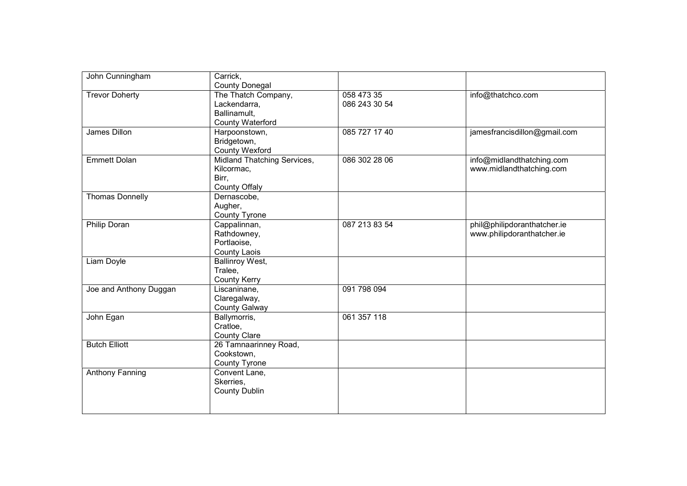| John Cunningham        | Carrick,                    |               |                              |
|------------------------|-----------------------------|---------------|------------------------------|
|                        | <b>County Donegal</b>       |               |                              |
| <b>Trevor Doherty</b>  | The Thatch Company,         | 058 473 35    | info@thatchco.com            |
|                        | Lackendarra,                | 086 243 30 54 |                              |
|                        | Ballinamult,                |               |                              |
|                        | <b>County Waterford</b>     |               |                              |
| James Dillon           | Harpoonstown,               | 085 727 17 40 | jamesfrancisdillon@gmail.com |
|                        | Bridgetown,                 |               |                              |
|                        | <b>County Wexford</b>       |               |                              |
| <b>Emmett Dolan</b>    | Midland Thatching Services, | 086 302 28 06 | info@midlandthatching.com    |
|                        | Kilcormac,                  |               | www.midlandthatching.com     |
|                        | Birr,                       |               |                              |
|                        | <b>County Offaly</b>        |               |                              |
| <b>Thomas Donnelly</b> | Dernascobe,                 |               |                              |
|                        | Augher,                     |               |                              |
|                        | <b>County Tyrone</b>        |               |                              |
| Philip Doran           | Cappalinnan,                | 087 213 83 54 | phil@philipdoranthatcher.ie  |
|                        | Rathdowney,                 |               | www.philipdoranthatcher.ie   |
|                        | Portlaoise,                 |               |                              |
|                        | <b>County Laois</b>         |               |                              |
| Liam Doyle             | Ballinroy West,             |               |                              |
|                        | Tralee,                     |               |                              |
|                        | <b>County Kerry</b>         |               |                              |
| Joe and Anthony Duggan | Liscaninane,                | 091 798 094   |                              |
|                        | Claregalway,                |               |                              |
|                        | <b>County Galway</b>        |               |                              |
| John Egan              | Ballymorris,                | 061 357 118   |                              |
|                        | Cratloe,                    |               |                              |
|                        | <b>County Clare</b>         |               |                              |
| <b>Butch Elliott</b>   | 26 Tamnaarinney Road,       |               |                              |
|                        | Cookstown,                  |               |                              |
|                        | <b>County Tyrone</b>        |               |                              |
| Anthony Fanning        | Convent Lane,               |               |                              |
|                        | Skerries,                   |               |                              |
|                        | <b>County Dublin</b>        |               |                              |
|                        |                             |               |                              |
|                        |                             |               |                              |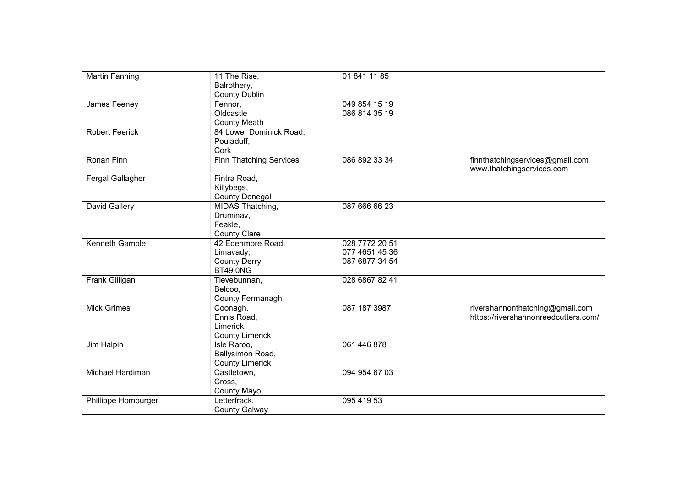| <b>Martin Fanning</b> | 11 The Rise,<br>Balrothery,    | 01 841 11 85   |                                                              |
|-----------------------|--------------------------------|----------------|--------------------------------------------------------------|
|                       | <b>County Dublin</b>           |                |                                                              |
| James Feeney          | Fennor,                        | 049 854 15 19  |                                                              |
|                       | Oldcastle                      | 086 814 35 19  |                                                              |
|                       | <b>County Meath</b>            |                |                                                              |
| <b>Robert Feerick</b> | 84 Lower Dominick Road,        |                |                                                              |
|                       | Pouladuff,                     |                |                                                              |
|                       | Cork                           |                |                                                              |
| Ronan Finn            | <b>Finn Thatching Services</b> | 086 892 33 34  | finnthatchingservices@gmail.com<br>www.thatchingservices.com |
| Fergal Gallagher      | Fintra Road,                   |                |                                                              |
|                       | Killybegs,                     |                |                                                              |
|                       | <b>County Donegal</b>          |                |                                                              |
| David Gallery         | MIDAS Thatching,               | 087 666 66 23  |                                                              |
|                       | Druminav,                      |                |                                                              |
|                       | Feakle,                        |                |                                                              |
|                       | <b>County Clare</b>            |                |                                                              |
| Kenneth Gamble        | 42 Edenmore Road,              | 028 7772 20 51 |                                                              |
|                       | Limavady,                      | 077 4651 45 36 |                                                              |
|                       | County Derry,                  | 087 6877 34 54 |                                                              |
|                       | <b>BT49 0NG</b>                |                |                                                              |
| Frank Gilligan        | Tievebunnan,                   | 028 6867 82 41 |                                                              |
|                       | Belcoo,                        |                |                                                              |
|                       | County Fermanagh               |                |                                                              |
| <b>Mick Grimes</b>    | Coonagh,                       | 087 187 3987   | rivershannonthatching@gmail.com                              |
|                       | Ennis Road,                    |                | https://rivershannonreedcutters.com/                         |
|                       | Limerick,                      |                |                                                              |
|                       | <b>County Limerick</b>         |                |                                                              |
| Jim Halpin            | Isle Raroo,                    | 061 446 878    |                                                              |
|                       | Ballysimon Road,               |                |                                                              |
|                       | <b>County Limerick</b>         |                |                                                              |
| Michael Hardiman      | Castletown,                    | 094 954 67 03  |                                                              |
|                       | Cross,                         |                |                                                              |
|                       | County Mayo                    |                |                                                              |
| Phillippe Homburger   | Letterfrack,                   | 095 419 53     |                                                              |
|                       | <b>County Galway</b>           |                |                                                              |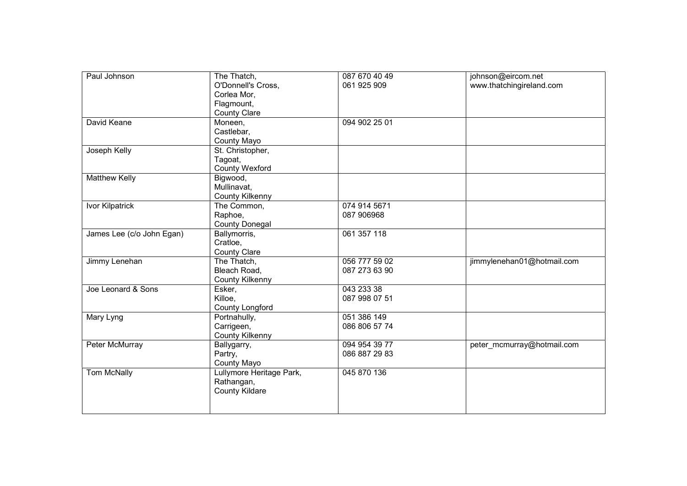| Paul Johnson              | The Thatch,              | 087 670 40 49 | johnson@eircom.net         |
|---------------------------|--------------------------|---------------|----------------------------|
|                           | O'Donnell's Cross.       | 061 925 909   | www.thatchingireland.com   |
|                           | Corlea Mor,              |               |                            |
|                           | Flagmount,               |               |                            |
|                           | <b>County Clare</b>      |               |                            |
| David Keane               | Moneen,                  | 094 902 25 01 |                            |
|                           | Castlebar,               |               |                            |
|                           | County Mayo              |               |                            |
| Joseph Kelly              | St. Christopher,         |               |                            |
|                           | Tagoat,                  |               |                            |
|                           | <b>County Wexford</b>    |               |                            |
| <b>Matthew Kelly</b>      | Bigwood,                 |               |                            |
|                           | Mullinavat,              |               |                            |
|                           | <b>County Kilkenny</b>   |               |                            |
| <b>Ivor Kilpatrick</b>    | The Common,              | 074 914 5671  |                            |
|                           | Raphoe,                  | 087 906968    |                            |
|                           | <b>County Donegal</b>    |               |                            |
| James Lee (c/o John Egan) | Ballymorris,             | 061 357 118   |                            |
|                           | Cratloe,                 |               |                            |
|                           | <b>County Clare</b>      |               |                            |
| Jimmy Lenehan             | The Thatch,              | 056 777 59 02 | jimmylenehan01@hotmail.com |
|                           | Bleach Road,             | 087 273 63 90 |                            |
|                           | <b>County Kilkenny</b>   |               |                            |
| Joe Leonard & Sons        | Esker,                   | 043 233 38    |                            |
|                           | Killoe,                  | 087 998 07 51 |                            |
|                           | County Longford          |               |                            |
| Mary Lyng                 | Portnahully,             | 051 386 149   |                            |
|                           | Carrigeen,               | 086 806 57 74 |                            |
|                           | <b>County Kilkenny</b>   |               |                            |
| Peter McMurray            | Ballygarry,              | 094 954 39 77 | peter_mcmurray@hotmail.com |
|                           | Partry,                  | 086 887 29 83 |                            |
|                           | County Mayo              |               |                            |
| <b>Tom McNally</b>        | Lullymore Heritage Park, | 045 870 136   |                            |
|                           | Rathangan,               |               |                            |
|                           | <b>County Kildare</b>    |               |                            |
|                           |                          |               |                            |
|                           |                          |               |                            |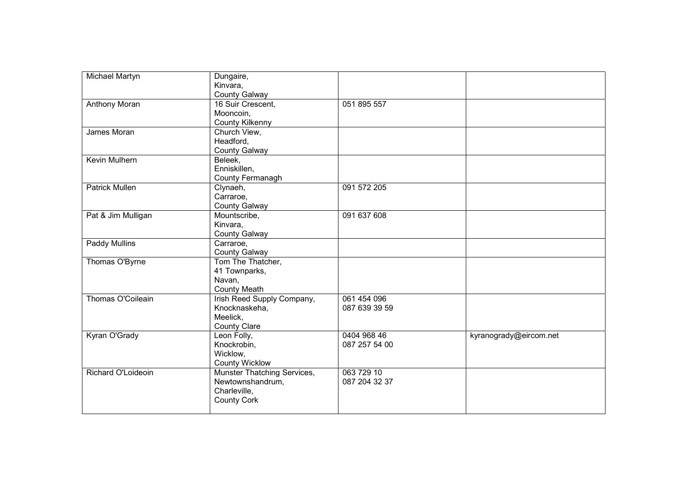| Michael Martyn        | Dungaire,<br>Kinvara,<br><b>County Galway</b>                                         |                              |                        |
|-----------------------|---------------------------------------------------------------------------------------|------------------------------|------------------------|
| <b>Anthony Moran</b>  | 16 Suir Crescent,<br>Mooncoin,<br><b>County Kilkenny</b>                              | 051 895 557                  |                        |
| James Moran           | Church View,<br>Headford,<br><b>County Galway</b>                                     |                              |                        |
| Kevin Mulhern         | Beleek,<br>Enniskillen,<br>County Fermanagh                                           |                              |                        |
| <b>Patrick Mullen</b> | Clynaeh,<br>Carraroe,<br><b>County Galway</b>                                         | 091 572 205                  |                        |
| Pat & Jim Mulligan    | Mountscribe,<br>Kinvara,<br><b>County Galway</b>                                      | 091 637 608                  |                        |
| Paddy Mullins         | Carraroe,<br><b>County Galway</b>                                                     |                              |                        |
| Thomas O'Byrne        | Tom The Thatcher,<br>41 Townparks,<br>Navan,<br><b>County Meath</b>                   |                              |                        |
| Thomas O'Coileain     | Irish Reed Supply Company,<br>Knocknaskeha,<br>Meelick,<br><b>County Clare</b>        | 061 454 096<br>087 639 39 59 |                        |
| Kyran O'Grady         | Leon Folly,<br>Knockrobin,<br>Wicklow,<br><b>County Wicklow</b>                       | 0404 968 46<br>087 257 54 00 | kyranogrady@eircom.net |
| Richard O'Loideoin    | Munster Thatching Services,<br>Newtownshandrum,<br>Charleville,<br><b>County Cork</b> | 063 729 10<br>087 204 32 37  |                        |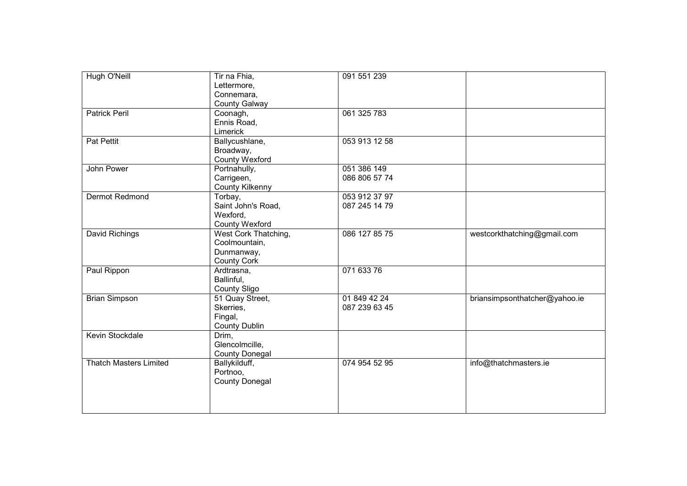| Hugh O'Neill                  | Tir na Fhia,<br>Lettermore,<br>Connemara,<br><b>County Galway</b>         | 091 551 239                    |                               |
|-------------------------------|---------------------------------------------------------------------------|--------------------------------|-------------------------------|
| <b>Patrick Peril</b>          | Coonagh,<br>Ennis Road,<br>Limerick                                       | 061 325 783                    |                               |
| Pat Pettit                    | Ballycushlane,<br>Broadway,<br><b>County Wexford</b>                      | 053 913 12 58                  |                               |
| John Power                    | Portnahully,<br>Carrigeen,<br><b>County Kilkenny</b>                      | 051 386 149<br>086 806 57 74   |                               |
| Dermot Redmond                | Torbay,<br>Saint John's Road,<br>Wexford,<br><b>County Wexford</b>        | 053 912 37 97<br>087 245 14 79 |                               |
| David Richings                | West Cork Thatching,<br>Coolmountain,<br>Dunmanway,<br><b>County Cork</b> | 086 127 85 75                  | westcorkthatching@gmail.com   |
| Paul Rippon                   | Ardtrasna,<br>Ballinful,<br><b>County Sligo</b>                           | 071 633 76                     |                               |
| <b>Brian Simpson</b>          | 51 Quay Street,<br>Skerries,<br>Fingal,<br><b>County Dublin</b>           | 01 849 42 24<br>087 239 63 45  | briansimpsonthatcher@yahoo.ie |
| Kevin Stockdale               | Drim,<br>Glencolmcille,<br><b>County Donegal</b>                          |                                |                               |
| <b>Thatch Masters Limited</b> | Ballykilduff,<br>Portnoo,<br><b>County Donegal</b>                        | 074 954 52 95                  | info@thatchmasters.ie         |